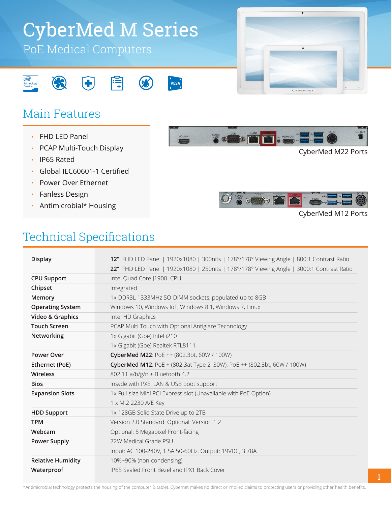# PoE Medical Computers CyberMed M Series

VESA<sup>.</sup>



## Main Features

CS

- FHD LED Panel •
- PCAP Multi-Touch Display •
- IP65 Rated •
- Global IEC60601-1 Certified •
- Power Over Ethernet •
- Fanless Design •
- Antimicrobial\* Housing



CyberMed M22 Ports



#### CyberMed M12 Ports

#### Technical Specifications

| <b>Display</b>           | 12": FHD LED Panel   1920x1080   300nits   178°/178° Viewing Angle   800:1 Contrast Ratio  |
|--------------------------|--------------------------------------------------------------------------------------------|
|                          | 22": FHD LED Panel   1920x1080   250nits   178°/178° Viewing Angle   3000:1 Contrast Ratio |
| <b>CPU Support</b>       | Intel Quad Core J1900 CPU                                                                  |
| Chipset                  | Integrated                                                                                 |
| Memory                   | 1x DDR3L 1333MHz SO-DIMM sockets, populated up to 8GB                                      |
| <b>Operating System</b>  | Windows 10, Windows IoT, Windows 8.1, Windows 7, Linux                                     |
| Video & Graphics         | Intel HD Graphics                                                                          |
| <b>Touch Screen</b>      | PCAP Multi Touch with Optional Antiglare Technology                                        |
| Networking               | 1x Gigabit (Gbe) Intel i210                                                                |
|                          | 1x Gigabit (Gbe) Realtek RTL8111                                                           |
| <b>Power Over</b>        | CyberMed M22: PoE ++ (802.3bt, 60W / 100W)                                                 |
| Ethernet (PoE)           | <b>CyberMed M12</b> : PoE + (802.3at Type 2, 30W), PoE ++ (802.3bt, 60W / 100W)            |
| Wireless                 | 802.11 a/b/g/n + Bluetooth 4.2                                                             |
| <b>Bios</b>              | Insyde with PXE, LAN & USB boot support                                                    |
| <b>Expansion Slots</b>   | 1x Full-size Mini PCI Express slot (Unavailable with PoE Option)                           |
|                          | 1 x M.2 2230 A/E Key                                                                       |
| <b>HDD Support</b>       | 1x 128GB Solid State Drive up to 2TB                                                       |
| <b>TPM</b>               | Version 2.0 Standard. Optional: Version 1.2                                                |
| Webcam                   | Optional: 5 Megapixel Front-facing                                                         |
| <b>Power Supply</b>      | 72W Medical Grade PSU                                                                      |
|                          | Input: AC 100-240V, 1.5A 50-60Hz. Output: 19VDC, 3.78A                                     |
| <b>Relative Humidity</b> | 10%~90% (non-condensing)                                                                   |
| Waterproof               | IP65 Sealed Front Bezel and IPX1 Back Cover                                                |